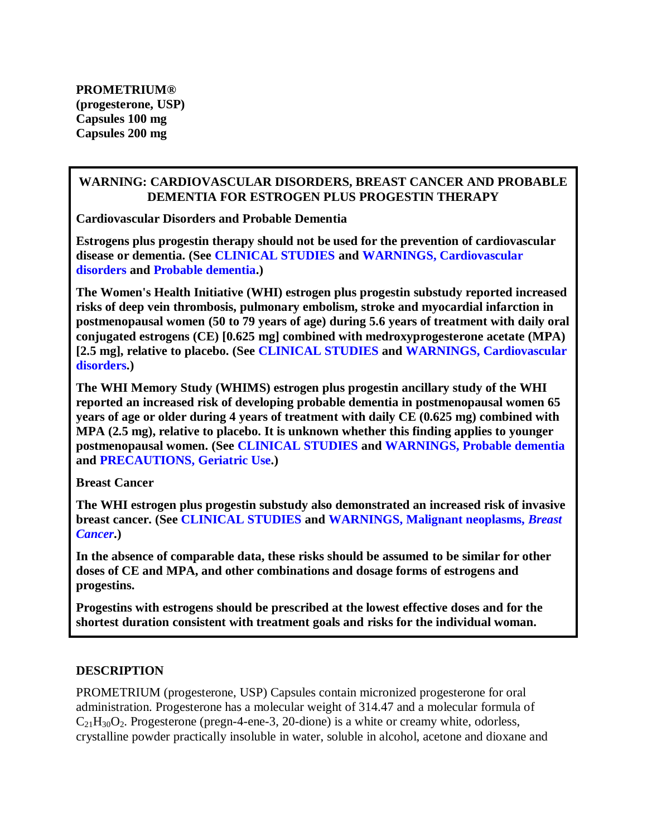## <span id="page-0-0"></span>**WARNING: CARDIOVASCULAR DISORDERS, BREAST CANCER AND PROBABLE DEMENTIA FOR ESTROGEN PLUS PROGESTIN THERAPY**

**Cardiovascular Disorders and Probable Dementia**

**Estrogens plus progestin therapy should not be used for the prevention of cardiovascular disease or dementia. (See [CLINICAL STUDIES](#page-3-0) and [WARNINGS, Cardiovascular](#page-9-0)  [disorders](#page-9-0) and [Probable dementia.](#page-11-0))** 

**The Women's Health Initiative (WHI) estrogen plus progestin substudy reported increased risks of deep vein thrombosis, pulmonary embolism, stroke and myocardial infarction in postmenopausal women (50 to 79 years of age) during 5.6 years of treatment with daily oral conjugated estrogens (CE) [0.625 mg] combined with medroxyprogesterone acetate (MPA) [2.5 mg], relative to placebo. (See [CLINICAL STUDIES](#page-3-0) and [WARNINGS, Cardiovascular](#page-9-0)  [disorders.](#page-9-0))** 

**The WHI Memory Study (WHIMS) estrogen plus progestin ancillary study of the WHI reported an increased risk of developing probable dementia in postmenopausal women 65 years of age or older during 4 years of treatment with daily CE (0.625 mg) combined with MPA (2.5 mg), relative to placebo. It is unknown whether this finding applies to younger postmenopausal women. (See [CLINICAL STUDIES](#page-3-0) and [WARNINGS, Probable dementia](#page-11-0) and [PRECAUTIONS, Geriatric Use.](#page-13-0))**

**Breast Cancer**

**The WHI estrogen plus progestin substudy also demonstrated an increased risk of invasive breast cancer. (See [CLINICAL STUDIES](#page-3-0) and [WARNINGS, Malignant neoplasms,](#page-10-0)** *[Breast](#page-10-0)  [Cancer](#page-10-1)***.)** 

**In the absence of comparable data, these risks should be assumed to be similar for other doses of CE and MPA, and other combinations and dosage forms of estrogens and progestins.**

**Progestins with estrogens should be prescribed at the lowest effective doses and for the shortest duration consistent with treatment goals and risks for the individual woman.**

## **DESCRIPTION**

PROMETRIUM (progesterone, USP) Capsules contain micronized progesterone for oral administration. Progesterone has a molecular weight of 314.47 and a molecular formula of  $C_{21}H_{30}O_2$ . Progesterone (pregn-4-ene-3, 20-dione) is a white or creamy white, odorless, crystalline powder practically insoluble in water, soluble in alcohol, acetone and dioxane and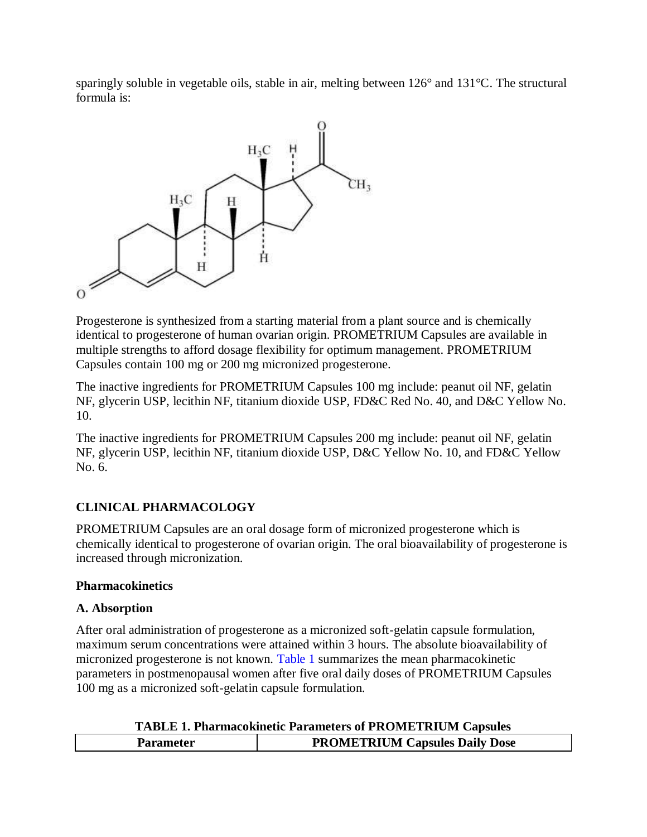sparingly soluble in vegetable oils, stable in air, melting between 126° and 131°C. The structural formula is:



Progesterone is synthesized from a starting material from a plant source and is chemically identical to progesterone of human ovarian origin. PROMETRIUM Capsules are available in multiple strengths to afford dosage flexibility for optimum management. PROMETRIUM Capsules contain 100 mg or 200 mg micronized progesterone.

The inactive ingredients for PROMETRIUM Capsules 100 mg include: peanut oil NF, gelatin NF, glycerin USP, lecithin NF, titanium dioxide USP, FD&C Red No. 40, and D&C Yellow No. 10.

The inactive ingredients for PROMETRIUM Capsules 200 mg include: peanut oil NF, gelatin NF, glycerin USP, lecithin NF, titanium dioxide USP, D&C Yellow No. 10, and FD&C Yellow No. 6.

# **CLINICAL PHARMACOLOGY**

PROMETRIUM Capsules are an oral dosage form of micronized progesterone which is chemically identical to progesterone of ovarian origin. The oral bioavailability of progesterone is increased through micronization.

## **Pharmacokinetics**

# **A. Absorption**

After oral administration of progesterone as a micronized soft-gelatin capsule formulation, maximum serum concentrations were attained within 3 hours. The absolute bioavailability of micronized progesterone is not known. [Table 1](#page-1-0) summarizes the mean pharmacokinetic parameters in postmenopausal women after five oral daily doses of PROMETRIUM Capsules 100 mg as a micronized soft-gelatin capsule formulation.

<span id="page-1-0"></span>

| <b>TABLE 1. Pharmacokinetic Parameters of PROMETRIUM Capsules</b> |                                       |  |  |
|-------------------------------------------------------------------|---------------------------------------|--|--|
| <b>Parameter</b>                                                  | <b>PROMETRIUM Capsules Daily Dose</b> |  |  |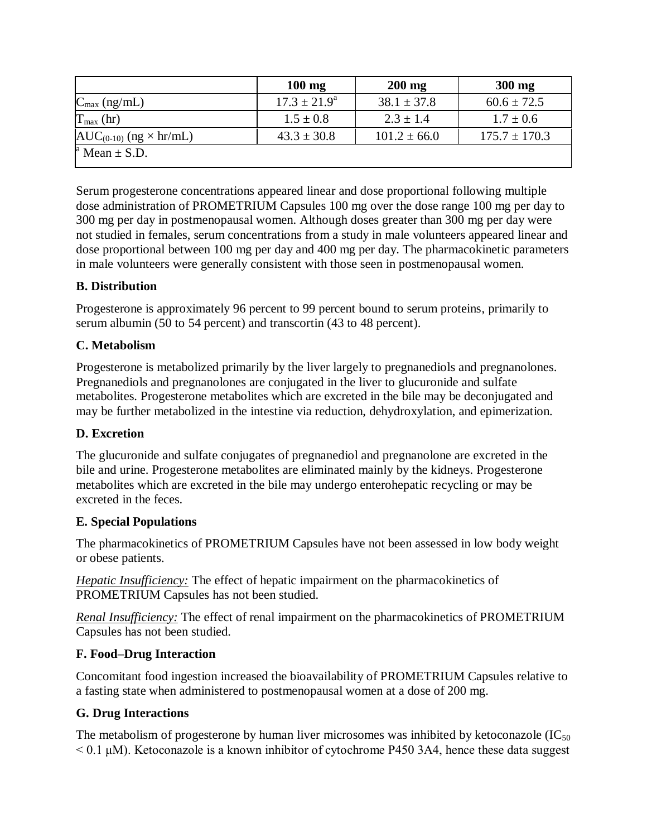|                                    | $100 \text{ mg}$        | $200$ mg         | $300$ mg          |
|------------------------------------|-------------------------|------------------|-------------------|
| $C_{\text{max}}$ (ng/mL)           | $17.3 \pm 21.9^{\circ}$ | $38.1 \pm 37.8$  | $60.6 \pm 72.5$   |
| $T_{\text{max}}$ (hr)              | $1.5 \pm 0.8$           | $2.3 \pm 1.4$    | $1.7 \pm 0.6$     |
| $AUC_{(0-10)}$ (ng $\times$ hr/mL) | $43.3 \pm 30.8$         | $101.2 \pm 66.0$ | $175.7 \pm 170.3$ |
| $\vert^{\rm a}$ Mean $\pm$ S.D.    |                         |                  |                   |

Serum progesterone concentrations appeared linear and dose proportional following multiple dose administration of PROMETRIUM Capsules 100 mg over the dose range 100 mg per day to 300 mg per day in postmenopausal women. Although doses greater than 300 mg per day were not studied in females, serum concentrations from a study in male volunteers appeared linear and dose proportional between 100 mg per day and 400 mg per day. The pharmacokinetic parameters in male volunteers were generally consistent with those seen in postmenopausal women.

# **B. Distribution**

Progesterone is approximately 96 percent to 99 percent bound to serum proteins, primarily to serum albumin (50 to 54 percent) and transcortin (43 to 48 percent).

## **C. Metabolism**

Progesterone is metabolized primarily by the liver largely to pregnanediols and pregnanolones. Pregnanediols and pregnanolones are conjugated in the liver to glucuronide and sulfate metabolites. Progesterone metabolites which are excreted in the bile may be deconjugated and may be further metabolized in the intestine via reduction, dehydroxylation, and epimerization.

## **D. Excretion**

The glucuronide and sulfate conjugates of pregnanediol and pregnanolone are excreted in the bile and urine. Progesterone metabolites are eliminated mainly by the kidneys. Progesterone metabolites which are excreted in the bile may undergo enterohepatic recycling or may be excreted in the feces.

## **E. Special Populations**

The pharmacokinetics of PROMETRIUM Capsules have not been assessed in low body weight or obese patients.

*Hepatic Insufficiency:* The effect of hepatic impairment on the pharmacokinetics of PROMETRIUM Capsules has not been studied.

*Renal Insufficiency:* The effect of renal impairment on the pharmacokinetics of PROMETRIUM Capsules has not been studied.

# **F. Food–Drug Interaction**

Concomitant food ingestion increased the bioavailability of PROMETRIUM Capsules relative to a fasting state when administered to postmenopausal women at a dose of 200 mg.

# **G. Drug Interactions**

The metabolism of progesterone by human liver microsomes was inhibited by ketoconazole  $(IC_{50}$  $< 0.1 \mu M$ ). Ketoconazole is a known inhibitor of cytochrome P450 3A4, hence these data suggest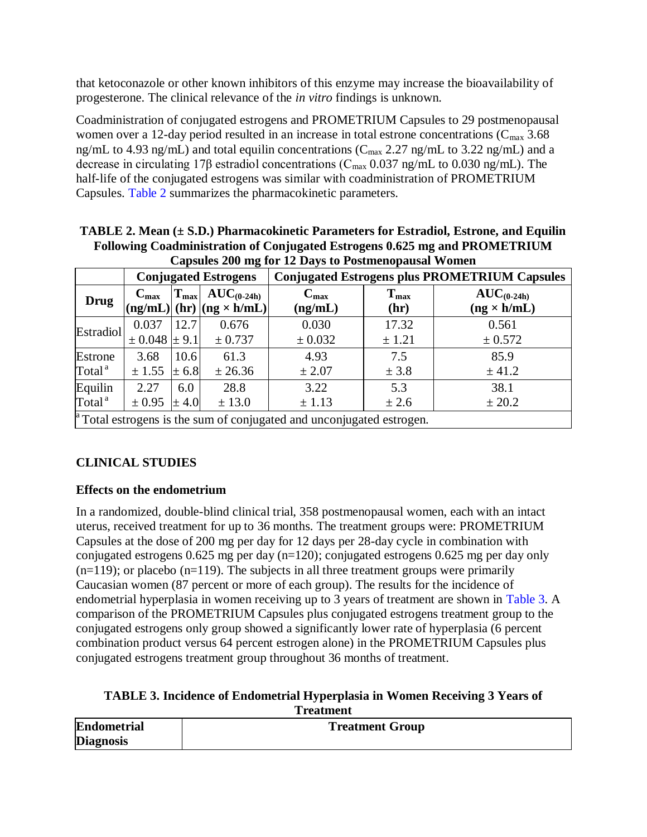that ketoconazole or other known inhibitors of this enzyme may increase the bioavailability of progesterone. The clinical relevance of the *in vitro* findings is unknown.

Coadministration of conjugated estrogens and PROMETRIUM Capsules to 29 postmenopausal women over a 12-day period resulted in an increase in total estrone concentrations ( $C_{\text{max}}$  3.68) ng/mL to 4.93 ng/mL) and total equilin concentrations ( $C_{\text{max}}$  2.27 ng/mL to 3.22 ng/mL) and a decrease in circulating 17β estradiol concentrations ( $C_{\text{max}}$  0.037 ng/mL to 0.030 ng/mL). The half-life of the conjugated estrogens was similar with coadministration of PROMETRIUM Capsules. [Table 2](#page-3-1) summarizes the pharmacokinetic parameters.

| <b>Capsules 200 mg for 12 Days to Postmenopausal Women</b>                   |                                                                                     |           |                                                          |                                   |        |                    |  |
|------------------------------------------------------------------------------|-------------------------------------------------------------------------------------|-----------|----------------------------------------------------------|-----------------------------------|--------|--------------------|--|
|                                                                              | <b>Conjugated Estrogens plus PROMETRIUM Capsules</b><br><b>Conjugated Estrogens</b> |           |                                                          |                                   |        |                    |  |
|                                                                              | $C_{\text{max}}$                                                                    |           | $ \mathbf{T}_{\text{max}} $ AUC(0-24h)                   | $T_{\rm max}$<br>$C_{\text{max}}$ |        | $AUC_{(0-24h)}$    |  |
| Drug                                                                         |                                                                                     |           | $(\text{ng/mL})$ (hr) $ (\text{ng} \times \text{h/mL}) $ | (ng/mL)                           | (hr)   | $(ng \times h/mL)$ |  |
|                                                                              | 0.037                                                                               | 12.7      | 0.676                                                    | 0.030                             | 17.32  | 0.561              |  |
| <b>Estradiol</b>                                                             | $\pm 0.048 \pm 9.1$                                                                 |           | ± 0.737                                                  | $\pm$ 0.032                       | ± 1.21 | ± 0.572            |  |
| Estrone                                                                      | 3.68                                                                                | 10.6      | 61.3                                                     | 4.93                              | 7.5    | 85.9               |  |
| Total <sup>a</sup>                                                           | ± 1.55                                                                              | $\pm 6.8$ | ± 26.36                                                  | ± 2.07                            | ± 3.8  | ± 41.2             |  |
| Equilin                                                                      | 2.27                                                                                | 6.0       | 28.8                                                     | 3.22                              | 5.3    | 38.1               |  |
| Total <sup>a</sup>                                                           | ± 0.95                                                                              | $\pm$ 4.0 | ± 13.0                                                   | ± 1.13                            | ± 2.6  | ± 20.2             |  |
| $\alpha$ Total estrogens is the sum of conjugated and unconjugated estrogen. |                                                                                     |           |                                                          |                                   |        |                    |  |

<span id="page-3-1"></span>

| <b>TABLE 2. Mean <math>(\pm S.D.)</math> Pharmacokinetic Parameters for Estradiol, Estrone, and Equilin</b> |
|-------------------------------------------------------------------------------------------------------------|
| <b>Following Coadministration of Conjugated Estrogens 0.625 mg and PROMETRIUM</b>                           |
| Cansules 200 mg for 12 Days to Postmenonausal Women                                                         |

# <span id="page-3-0"></span>**CLINICAL STUDIES**

## **Effects on the endometrium**

In a randomized, double-blind clinical trial, 358 postmenopausal women, each with an intact uterus, received treatment for up to 36 months. The treatment groups were: PROMETRIUM Capsules at the dose of 200 mg per day for 12 days per 28-day cycle in combination with conjugated estrogens 0.625 mg per day (n=120); conjugated estrogens 0.625 mg per day only  $(n=119)$ ; or placebo  $(n=119)$ . The subjects in all three treatment groups were primarily Caucasian women (87 percent or more of each group). The results for the incidence of endometrial hyperplasia in women receiving up to 3 years of treatment are shown in [Table 3.](#page-3-2) A comparison of the PROMETRIUM Capsules plus conjugated estrogens treatment group to the conjugated estrogens only group showed a significantly lower rate of hyperplasia (6 percent combination product versus 64 percent estrogen alone) in the PROMETRIUM Capsules plus conjugated estrogens treatment group throughout 36 months of treatment.

#### <span id="page-3-2"></span>**TABLE 3. Incidence of Endometrial Hyperplasia in Women Receiving 3 Years of Treatment**

| <b>Endometrial</b> | <b>Treatment Group</b> |
|--------------------|------------------------|
| <b>Diagnosis</b>   |                        |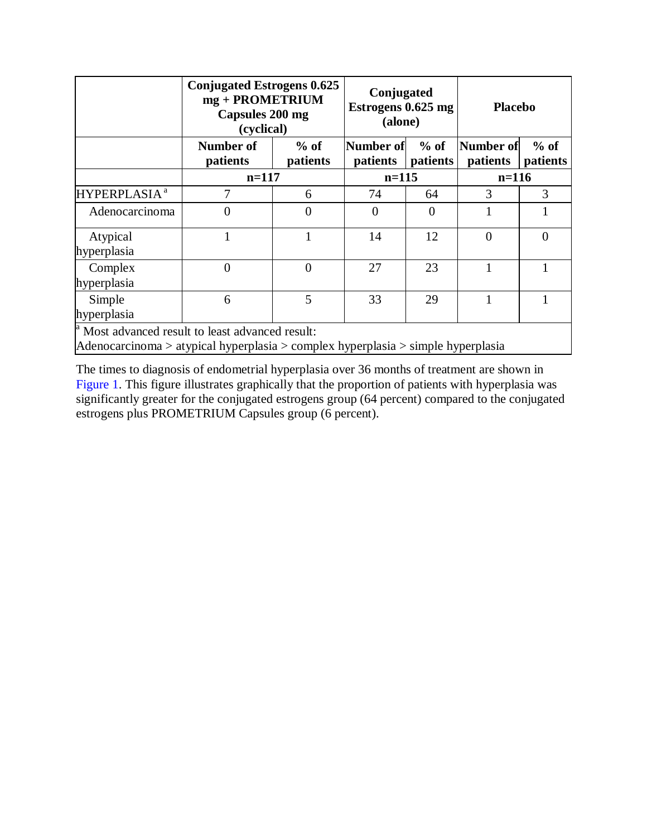|                                                                                                                                                   | <b>Conjugated Estrogens 0.625</b><br>mg + PROMETRIUM<br>Capsules 200 mg<br>(cyclical) |                    | Conjugated<br>Estrogens 0.625 mg<br>(alone) |                    | <b>Placebo</b>        |                    |
|---------------------------------------------------------------------------------------------------------------------------------------------------|---------------------------------------------------------------------------------------|--------------------|---------------------------------------------|--------------------|-----------------------|--------------------|
|                                                                                                                                                   | <b>Number of</b><br>patients                                                          | $%$ of<br>patients | Number of<br>patients                       | $%$ of<br>patients | Number of<br>patients | $%$ of<br>patients |
|                                                                                                                                                   | $n=117$                                                                               |                    | $n=115$                                     |                    | $n=116$               |                    |
| HYPERPLASIA <sup>a</sup>                                                                                                                          |                                                                                       | 6                  | 74                                          | 64                 | 3                     | 3                  |
| Adenocarcinoma                                                                                                                                    | 0                                                                                     | $\Omega$           | 0                                           | $\Omega$           |                       |                    |
| Atypical<br>hyperplasia                                                                                                                           |                                                                                       |                    | 14                                          | 12                 | $\overline{0}$        | $\theta$           |
| Complex<br>hyperplasia                                                                                                                            | $\theta$                                                                              | 0                  | 27                                          | 23                 |                       |                    |
| Simple<br>hyperplasia                                                                                                                             | 6                                                                                     | 5                  | 33                                          | 29                 |                       | 1                  |
| <sup>a</sup> Most advanced result to least advanced result:<br>$Adenocarcinoma > atypical hyperplasia > complex hyperplasia > simple hyperplasia$ |                                                                                       |                    |                                             |                    |                       |                    |

The times to diagnosis of endometrial hyperplasia over 36 months of treatment are shown in Figure 1. This figure illustrates graphically that the proportion of patients with hyperplasia was significantly greater for the conjugated estrogens group (64 percent) compared to the conjugated estrogens plus PROMETRIUM Capsules group (6 percent).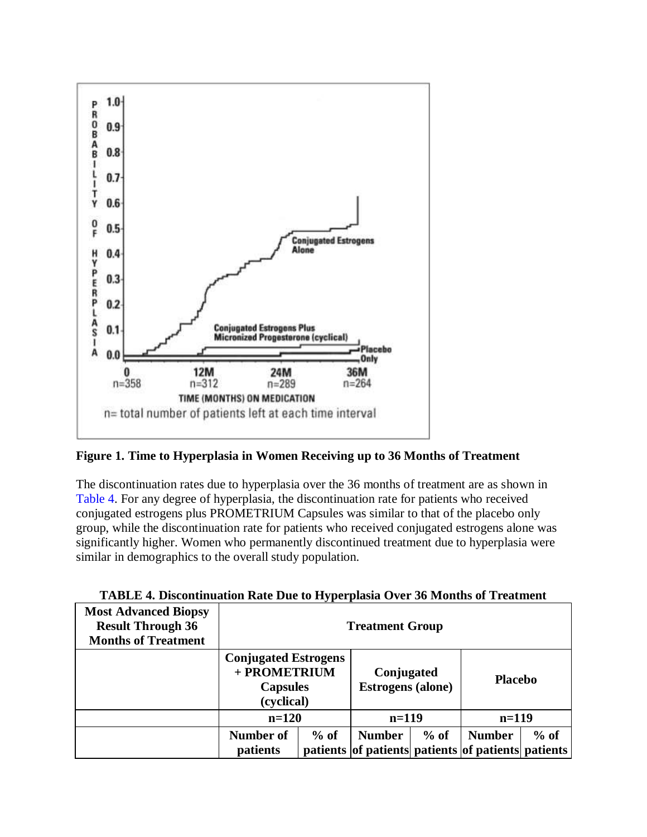

**Figure 1. Time to Hyperplasia in Women Receiving up to 36 Months of Treatment** 

The discontinuation rates due to hyperplasia over the 36 months of treatment are as shown in [Table 4.](#page-5-0) For any degree of hyperplasia, the discontinuation rate for patients who received conjugated estrogens plus PROMETRIUM Capsules was similar to that of the placebo only group, while the discontinuation rate for patients who received conjugated estrogens alone was significantly higher. Women who permanently discontinued treatment due to hyperplasia were similar in demographics to the overall study population.

<span id="page-5-0"></span>

| <b>Most Advanced Biopsy</b><br><b>Result Through 36</b><br><b>Months of Treatment</b> | <b>Treatment Group</b>                                                       |        |                                        |        |                                                                     |        |
|---------------------------------------------------------------------------------------|------------------------------------------------------------------------------|--------|----------------------------------------|--------|---------------------------------------------------------------------|--------|
|                                                                                       | <b>Conjugated Estrogens</b><br>+ PROMETRIUM<br><b>Capsules</b><br>(cyclical) |        | Conjugated<br><b>Estrogens</b> (alone) |        | <b>Placebo</b>                                                      |        |
|                                                                                       | $n=120$                                                                      |        | $n=119$                                |        | $n=119$                                                             |        |
|                                                                                       | <b>Number of</b><br><i>patients</i>                                          | $%$ of | <b>Number</b>                          | $%$ of | <b>Number</b><br>patients of patients patients of patients patients | $%$ of |

**TABLE 4. Discontinuation Rate Due to Hyperplasia Over 36 Months of Treatment**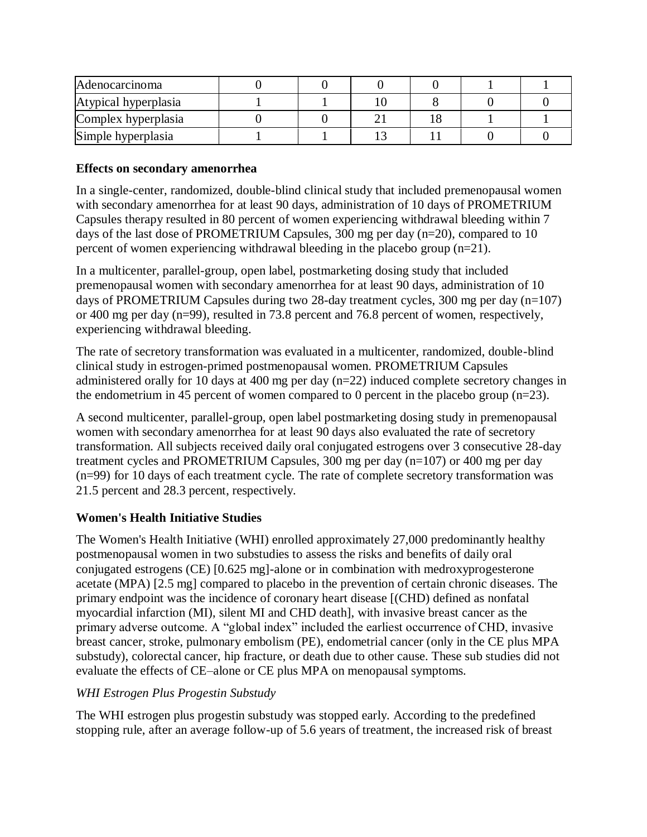| Adenocarcinoma       |  |  |  |
|----------------------|--|--|--|
| Atypical hyperplasia |  |  |  |
| Complex hyperplasia  |  |  |  |
| Simple hyperplasia   |  |  |  |

## **Effects on secondary amenorrhea**

In a single-center, randomized, double-blind clinical study that included premenopausal women with secondary amenorrhea for at least 90 days, administration of 10 days of PROMETRIUM Capsules therapy resulted in 80 percent of women experiencing withdrawal bleeding within 7 days of the last dose of PROMETRIUM Capsules, 300 mg per day (n=20), compared to 10 percent of women experiencing withdrawal bleeding in the placebo group (n=21).

In a multicenter, parallel-group, open label, postmarketing dosing study that included premenopausal women with secondary amenorrhea for at least 90 days, administration of 10 days of PROMETRIUM Capsules during two 28-day treatment cycles, 300 mg per day (n=107) or 400 mg per day (n=99), resulted in 73.8 percent and 76.8 percent of women, respectively, experiencing withdrawal bleeding.

The rate of secretory transformation was evaluated in a multicenter, randomized, double-blind clinical study in estrogen-primed postmenopausal women. PROMETRIUM Capsules administered orally for 10 days at 400 mg per day (n=22) induced complete secretory changes in the endometrium in 45 percent of women compared to 0 percent in the placebo group (n=23).

A second multicenter, parallel-group, open label postmarketing dosing study in premenopausal women with secondary amenorrhea for at least 90 days also evaluated the rate of secretory transformation. All subjects received daily oral conjugated estrogens over 3 consecutive 28-day treatment cycles and PROMETRIUM Capsules, 300 mg per day (n=107) or 400 mg per day (n=99) for 10 days of each treatment cycle. The rate of complete secretory transformation was 21.5 percent and 28.3 percent, respectively.

# **Women's Health Initiative Studies**

The Women's Health Initiative (WHI) enrolled approximately 27,000 predominantly healthy postmenopausal women in two substudies to assess the risks and benefits of daily oral conjugated estrogens (CE) [0.625 mg]-alone or in combination with medroxyprogesterone acetate (MPA) [2.5 mg] compared to placebo in the prevention of certain chronic diseases. The primary endpoint was the incidence of coronary heart disease [(CHD) defined as nonfatal myocardial infarction (MI), silent MI and CHD death], with invasive breast cancer as the primary adverse outcome. A "global index" included the earliest occurrence of CHD, invasive breast cancer, stroke, pulmonary embolism (PE), endometrial cancer (only in the CE plus MPA substudy), colorectal cancer, hip fracture, or death due to other cause. These sub studies did not evaluate the effects of CE–alone or CE plus MPA on menopausal symptoms.

## *WHI Estrogen Plus Progestin Substudy*

The WHI estrogen plus progestin substudy was stopped early. According to the predefined stopping rule, after an average follow-up of 5.6 years of treatment, the increased risk of breast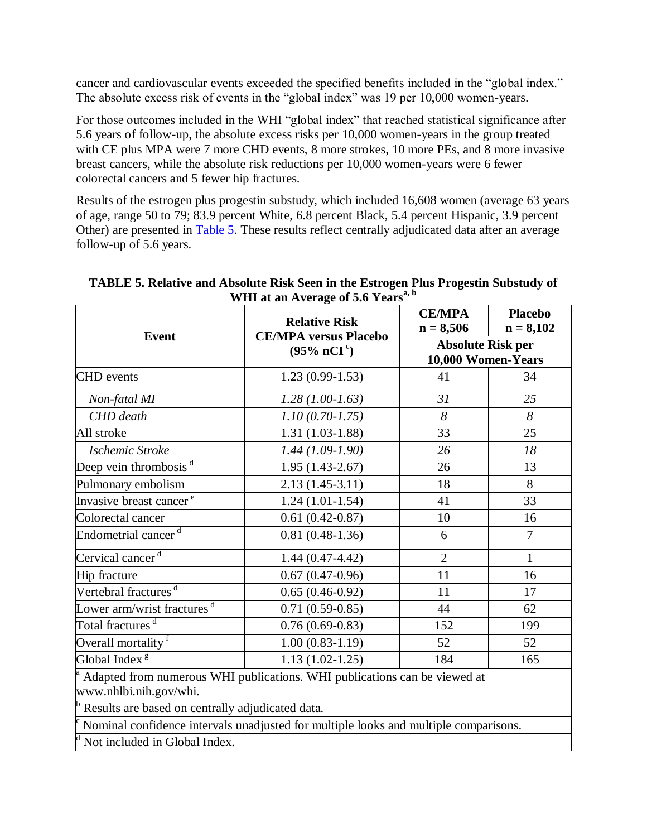cancer and cardiovascular events exceeded the specified benefits included in the "global index." The absolute excess risk of events in the "global index" was 19 per 10,000 women-years.

For those outcomes included in the WHI "global index" that reached statistical significance after 5.6 years of follow-up, the absolute excess risks per 10,000 women-years in the group treated with CE plus MPA were 7 more CHD events, 8 more strokes, 10 more PEs, and 8 more invasive breast cancers, while the absolute risk reductions per 10,000 women-years were 6 fewer colorectal cancers and 5 fewer hip fractures.

Results of the estrogen plus progestin substudy, which included 16,608 women (average 63 years of age, range 50 to 79; 83.9 percent White, 6.8 percent Black, 5.4 percent Hispanic, 3.9 percent Other) are presented in [Table 5.](#page-7-0) These results reflect centrally adjudicated data after an average follow-up of 5.6 years.

|                                                                                                     | <b>Relative Risk</b>                                        | <b>CE/MPA</b><br>$n = 8,506$                   | <b>Placebo</b><br>$n = 8,102$ |  |  |
|-----------------------------------------------------------------------------------------------------|-------------------------------------------------------------|------------------------------------------------|-------------------------------|--|--|
| <b>Event</b>                                                                                        | <b>CE/MPA</b> versus Placebo<br>$(95\%~\text{nCI}^{\circ})$ | <b>Absolute Risk per</b><br>10,000 Women-Years |                               |  |  |
| <b>CHD</b> events                                                                                   | $1.23(0.99-1.53)$                                           | 41                                             | 34                            |  |  |
| Non-fatal MI                                                                                        | $1.28(1.00-1.63)$                                           | 31                                             | 25                            |  |  |
| <b>CHD</b> death                                                                                    | $1.10(0.70-1.75)$                                           | 8                                              | 8                             |  |  |
| All stroke                                                                                          | $1.31(1.03-1.88)$                                           | 33                                             | 25                            |  |  |
| Ischemic Stroke                                                                                     | $1.44(1.09-1.90)$                                           | 26                                             | 18                            |  |  |
| Deep vein thrombosis <sup>d</sup>                                                                   | $1.95(1.43-2.67)$                                           | 26                                             | 13                            |  |  |
| Pulmonary embolism                                                                                  | $2.13(1.45-3.11)$                                           | 18                                             | 8                             |  |  |
| Invasive breast cancer <sup>e</sup>                                                                 | $1.24(1.01-1.54)$                                           | 41                                             | 33                            |  |  |
| Colorectal cancer                                                                                   | $0.61(0.42-0.87)$                                           | 10                                             | 16                            |  |  |
| Endometrial cancer <sup>d</sup>                                                                     | $0.81(0.48-1.36)$                                           | 6                                              | $\overline{7}$                |  |  |
| Cervical cancer <sup>d</sup>                                                                        | $1.44(0.47-4.42)$                                           | $\overline{2}$                                 | $\mathbf{1}$                  |  |  |
| Hip fracture                                                                                        | $0.67(0.47-0.96)$                                           | 11                                             | 16                            |  |  |
| Vertebral fractures <sup>d</sup>                                                                    | $0.65(0.46-0.92)$                                           | 11                                             | 17                            |  |  |
| Lower arm/wrist fractures <sup>d</sup>                                                              | $0.71(0.59-0.85)$                                           | 44                                             | 62                            |  |  |
| Total fractures <sup>d</sup>                                                                        | $0.76(0.69-0.83)$                                           | 152                                            | 199                           |  |  |
| Overall mortality f                                                                                 | $1.00(0.83-1.19)$                                           | 52                                             | 52                            |  |  |
| Global Index <sup>g</sup>                                                                           | $1.13(1.02-1.25)$                                           | 184                                            | 165                           |  |  |
| Adapted from numerous WHI publications. WHI publications can be viewed at<br>www.nhlbi.nih.gov/whi. |                                                             |                                                |                               |  |  |
| Results are based on centrally adjudicated data.                                                    |                                                             |                                                |                               |  |  |
| Nominal confidence intervals unadjusted for multiple looks and multiple comparisons.                |                                                             |                                                |                               |  |  |

#### <span id="page-7-0"></span>**TABLE 5. Relative and Absolute Risk Seen in the Estrogen Plus Progestin Substudy of WHI at an Average of 5.6 Yearsa, b**

 $\alpha$ <sup>d</sup> Not included in Global Index.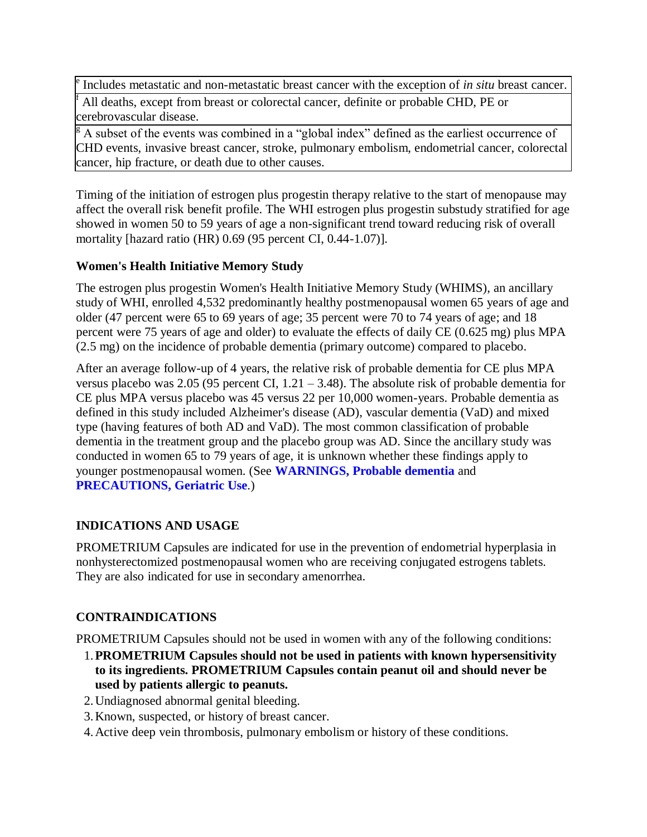e Includes metastatic and non-metastatic breast cancer with the exception of *in situ* breast cancer.

All deaths, except from breast or colorectal cancer, definite or probable CHD, PE or cerebrovascular disease.

 $\frac{g}{g}$  A subset of the events was combined in a "global index" defined as the earliest occurrence of CHD events, invasive breast cancer, stroke, pulmonary embolism, endometrial cancer, colorectal cancer, hip fracture, or death due to other causes.

Timing of the initiation of estrogen plus progestin therapy relative to the start of menopause may affect the overall risk benefit profile. The WHI estrogen plus progestin substudy stratified for age showed in women 50 to 59 years of age a non-significant trend toward reducing risk of overall mortality [hazard ratio (HR) 0.69 (95 percent CI, 0.44-1.07)].

## **Women's Health Initiative Memory Study**

The estrogen plus progestin Women's Health Initiative Memory Study (WHIMS), an ancillary study of WHI, enrolled 4,532 predominantly healthy postmenopausal women 65 years of age and older (47 percent were 65 to 69 years of age; 35 percent were 70 to 74 years of age; and 18 percent were 75 years of age and older) to evaluate the effects of daily CE (0.625 mg) plus MPA (2.5 mg) on the incidence of probable dementia (primary outcome) compared to placebo.

After an average follow-up of 4 years, the relative risk of probable dementia for CE plus MPA versus placebo was 2.05 (95 percent CI, 1.21 – 3.48). The absolute risk of probable dementia for CE plus MPA versus placebo was 45 versus 22 per 10,000 women-years. Probable dementia as defined in this study included Alzheimer's disease (AD), vascular dementia (VaD) and mixed type (having features of both AD and VaD). The most common classification of probable dementia in the treatment group and the placebo group was AD. Since the ancillary study was conducted in women 65 to 79 years of age, it is unknown whether these findings apply to younger postmenopausal women. (See **[WARNINGS, Probable dementia](#page-11-0)** and **[PRECAUTIONS, Geriatric Use](#page-13-0)**.)

## **INDICATIONS AND USAGE**

PROMETRIUM Capsules are indicated for use in the prevention of endometrial hyperplasia in nonhysterectomized postmenopausal women who are receiving conjugated estrogens tablets. They are also indicated for use in secondary amenorrhea.

# <span id="page-8-0"></span>**CONTRAINDICATIONS**

PROMETRIUM Capsules should not be used in women with any of the following conditions:

- 1.**PROMETRIUM Capsules should not be used in patients with known hypersensitivity to its ingredients. PROMETRIUM Capsules contain peanut oil and should never be used by patients allergic to peanuts.**
- 2.Undiagnosed abnormal genital bleeding.
- 3.Known, suspected, or history of breast cancer.
- 4.Active deep vein thrombosis, pulmonary embolism or history of these conditions.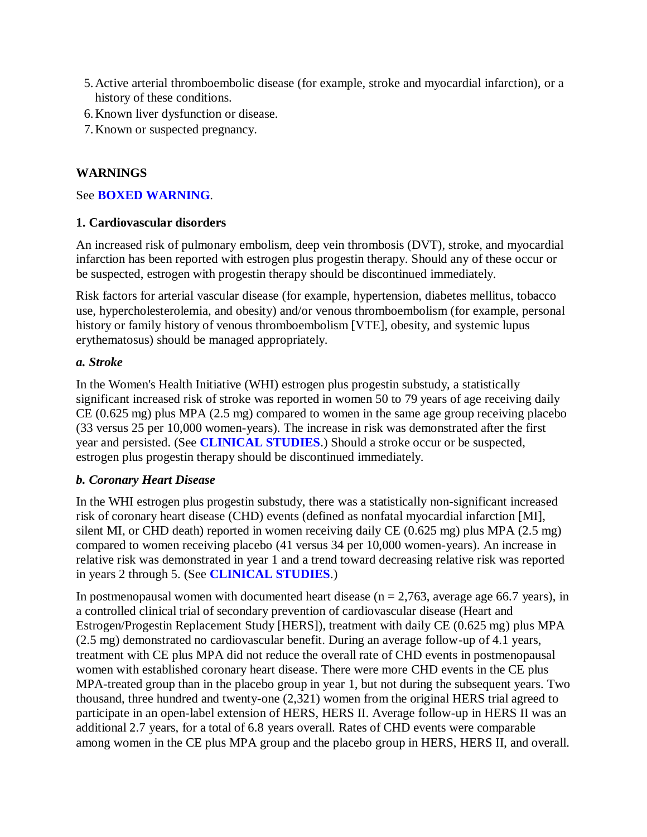- 5.Active arterial thromboembolic disease (for example, stroke and myocardial infarction), or a history of these conditions.
- 6.Known liver dysfunction or disease.
- 7.Known or suspected pregnancy.

## <span id="page-9-1"></span>**WARNINGS**

#### See **[BOXED WARNING](#page-0-0)**.

#### <span id="page-9-0"></span>**1. Cardiovascular disorders**

An increased risk of pulmonary embolism, deep vein thrombosis (DVT), stroke, and myocardial infarction has been reported with estrogen plus progestin therapy. Should any of these occur or be suspected, estrogen with progestin therapy should be discontinued immediately.

Risk factors for arterial vascular disease (for example, hypertension, diabetes mellitus, tobacco use, hypercholesterolemia, and obesity) and/or venous thromboembolism (for example, personal history or family history of venous thromboembolism [VTE], obesity, and systemic lupus erythematosus) should be managed appropriately.

#### *a. Stroke*

In the Women's Health Initiative (WHI) estrogen plus progestin substudy, a statistically significant increased risk of stroke was reported in women 50 to 79 years of age receiving daily CE (0.625 mg) plus MPA (2.5 mg) compared to women in the same age group receiving placebo (33 versus 25 per 10,000 women-years). The increase in risk was demonstrated after the first year and persisted. (See **[CLINICAL STUDIES](#page-3-0)**.) Should a stroke occur or be suspected, estrogen plus progestin therapy should be discontinued immediately.

#### *b. Coronary Heart Disease*

In the WHI estrogen plus progestin substudy, there was a statistically non-significant increased risk of coronary heart disease (CHD) events (defined as nonfatal myocardial infarction [MI], silent MI, or CHD death) reported in women receiving daily CE (0.625 mg) plus MPA (2.5 mg) compared to women receiving placebo (41 versus 34 per 10,000 women-years). An increase in relative risk was demonstrated in year 1 and a trend toward decreasing relative risk was reported in years 2 through 5. (See **[CLINICAL STUDIES](#page-3-0)**.)

In postmenopausal women with documented heart disease ( $n = 2,763$ , average age 66.7 years), in a controlled clinical trial of secondary prevention of cardiovascular disease (Heart and Estrogen/Progestin Replacement Study [HERS]), treatment with daily CE (0.625 mg) plus MPA (2.5 mg) demonstrated no cardiovascular benefit. During an average follow-up of 4.1 years, treatment with CE plus MPA did not reduce the overall rate of CHD events in postmenopausal women with established coronary heart disease. There were more CHD events in the CE plus MPA-treated group than in the placebo group in year 1, but not during the subsequent years. Two thousand, three hundred and twenty-one (2,321) women from the original HERS trial agreed to participate in an open-label extension of HERS, HERS II. Average follow-up in HERS II was an additional 2.7 years, for a total of 6.8 years overall. Rates of CHD events were comparable among women in the CE plus MPA group and the placebo group in HERS, HERS II, and overall.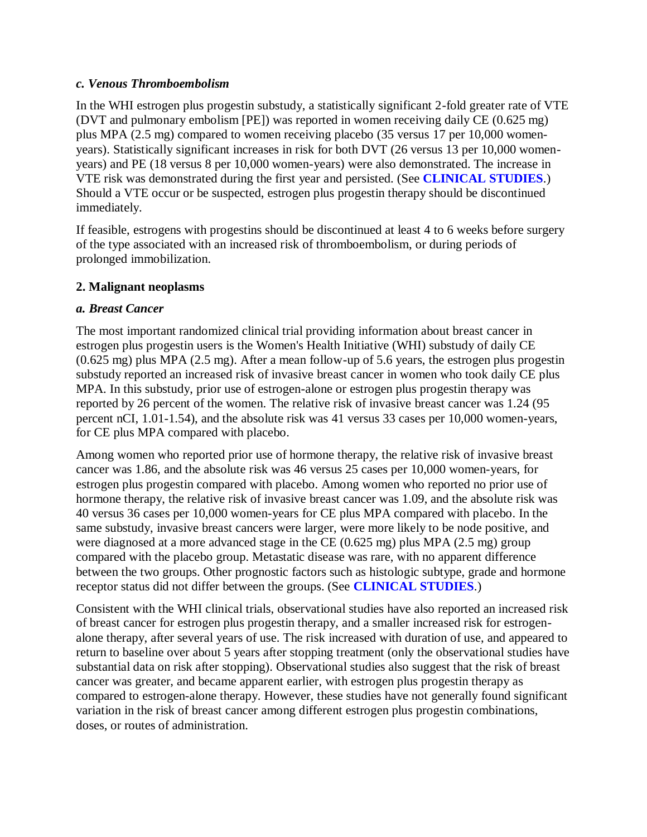#### *c. Venous Thromboembolism*

In the WHI estrogen plus progestin substudy, a statistically significant 2-fold greater rate of VTE (DVT and pulmonary embolism [PE]) was reported in women receiving daily CE (0.625 mg) plus MPA (2.5 mg) compared to women receiving placebo (35 versus 17 per 10,000 womenyears). Statistically significant increases in risk for both DVT (26 versus 13 per 10,000 womenyears) and PE (18 versus 8 per 10,000 women-years) were also demonstrated. The increase in VTE risk was demonstrated during the first year and persisted. (See **[CLINICAL STUDIES](#page-3-0)**.) Should a VTE occur or be suspected, estrogen plus progestin therapy should be discontinued immediately.

If feasible, estrogens with progestins should be discontinued at least 4 to 6 weeks before surgery of the type associated with an increased risk of thromboembolism, or during periods of prolonged immobilization.

#### <span id="page-10-0"></span>**2. Malignant neoplasms**

#### <span id="page-10-1"></span>*a. Breast Cancer*

The most important randomized clinical trial providing information about breast cancer in estrogen plus progestin users is the Women's Health Initiative (WHI) substudy of daily CE (0.625 mg) plus MPA (2.5 mg). After a mean follow-up of 5.6 years, the estrogen plus progestin substudy reported an increased risk of invasive breast cancer in women who took daily CE plus MPA. In this substudy, prior use of estrogen-alone or estrogen plus progestin therapy was reported by 26 percent of the women. The relative risk of invasive breast cancer was 1.24 (95 percent nCI, 1.01-1.54), and the absolute risk was 41 versus 33 cases per 10,000 women-years, for CE plus MPA compared with placebo.

Among women who reported prior use of hormone therapy, the relative risk of invasive breast cancer was 1.86, and the absolute risk was 46 versus 25 cases per 10,000 women-years, for estrogen plus progestin compared with placebo. Among women who reported no prior use of hormone therapy, the relative risk of invasive breast cancer was 1.09, and the absolute risk was 40 versus 36 cases per 10,000 women-years for CE plus MPA compared with placebo. In the same substudy, invasive breast cancers were larger, were more likely to be node positive, and were diagnosed at a more advanced stage in the CE (0.625 mg) plus MPA (2.5 mg) group compared with the placebo group. Metastatic disease was rare, with no apparent difference between the two groups. Other prognostic factors such as histologic subtype, grade and hormone receptor status did not differ between the groups. (See **[CLINICAL STUDIES](#page-3-0)**.)

Consistent with the WHI clinical trials, observational studies have also reported an increased risk of breast cancer for estrogen plus progestin therapy, and a smaller increased risk for estrogenalone therapy, after several years of use. The risk increased with duration of use, and appeared to return to baseline over about 5 years after stopping treatment (only the observational studies have substantial data on risk after stopping). Observational studies also suggest that the risk of breast cancer was greater, and became apparent earlier, with estrogen plus progestin therapy as compared to estrogen-alone therapy. However, these studies have not generally found significant variation in the risk of breast cancer among different estrogen plus progestin combinations, doses, or routes of administration.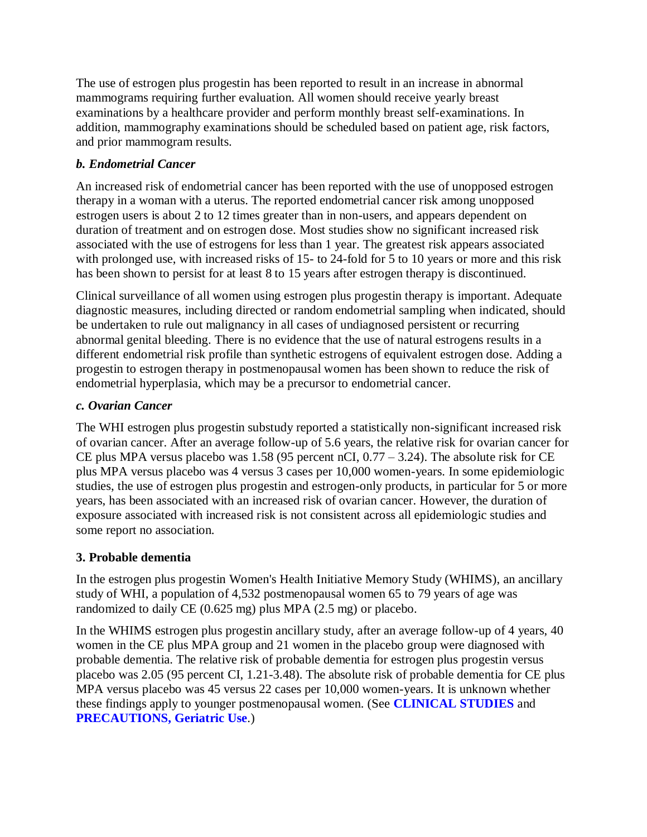The use of estrogen plus progestin has been reported to result in an increase in abnormal mammograms requiring further evaluation. All women should receive yearly breast examinations by a healthcare provider and perform monthly breast self-examinations. In addition, mammography examinations should be scheduled based on patient age, risk factors, and prior mammogram results.

# *b. Endometrial Cancer*

An increased risk of endometrial cancer has been reported with the use of unopposed estrogen therapy in a woman with a uterus. The reported endometrial cancer risk among unopposed estrogen users is about 2 to 12 times greater than in non-users, and appears dependent on duration of treatment and on estrogen dose. Most studies show no significant increased risk associated with the use of estrogens for less than 1 year. The greatest risk appears associated with prolonged use, with increased risks of 15- to 24-fold for 5 to 10 years or more and this risk has been shown to persist for at least 8 to 15 years after estrogen therapy is discontinued.

Clinical surveillance of all women using estrogen plus progestin therapy is important. Adequate diagnostic measures, including directed or random endometrial sampling when indicated, should be undertaken to rule out malignancy in all cases of undiagnosed persistent or recurring abnormal genital bleeding. There is no evidence that the use of natural estrogens results in a different endometrial risk profile than synthetic estrogens of equivalent estrogen dose. Adding a progestin to estrogen therapy in postmenopausal women has been shown to reduce the risk of endometrial hyperplasia, which may be a precursor to endometrial cancer.

#### *c. Ovarian Cancer*

The WHI estrogen plus progestin substudy reported a statistically non-significant increased risk of ovarian cancer. After an average follow-up of 5.6 years, the relative risk for ovarian cancer for CE plus MPA versus placebo was 1.58 (95 percent nCI,  $0.77 - 3.24$ ). The absolute risk for CE plus MPA versus placebo was 4 versus 3 cases per 10,000 women-years. In some epidemiologic studies, the use of estrogen plus progestin and estrogen-only products, in particular for 5 or more years, has been associated with an increased risk of ovarian cancer. However, the duration of exposure associated with increased risk is not consistent across all epidemiologic studies and some report no association.

## <span id="page-11-0"></span>**3. Probable dementia**

In the estrogen plus progestin Women's Health Initiative Memory Study (WHIMS), an ancillary study of WHI, a population of 4,532 postmenopausal women 65 to 79 years of age was randomized to daily CE (0.625 mg) plus MPA (2.5 mg) or placebo.

In the WHIMS estrogen plus progestin ancillary study, after an average follow-up of 4 years, 40 women in the CE plus MPA group and 21 women in the placebo group were diagnosed with probable dementia. The relative risk of probable dementia for estrogen plus progestin versus placebo was 2.05 (95 percent CI, 1.21-3.48). The absolute risk of probable dementia for CE plus MPA versus placebo was 45 versus 22 cases per 10,000 women-years. It is unknown whether these findings apply to younger postmenopausal women. (See **[CLINICAL STUDIES](#page-3-0)** and **[PRECAUTIONS, Geriatric Use](#page-13-0)**.)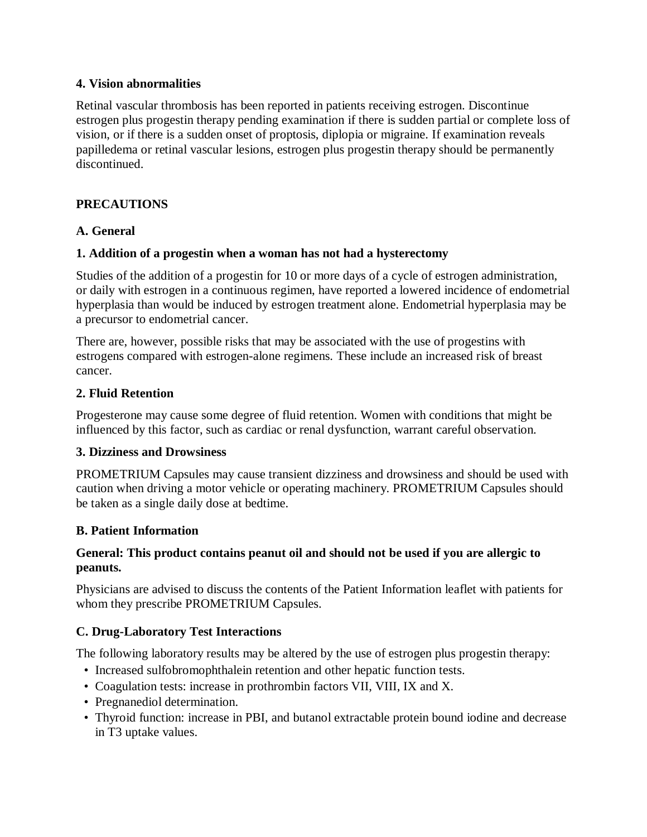#### **4. Vision abnormalities**

Retinal vascular thrombosis has been reported in patients receiving estrogen. Discontinue estrogen plus progestin therapy pending examination if there is sudden partial or complete loss of vision, or if there is a sudden onset of proptosis, diplopia or migraine. If examination reveals papilledema or retinal vascular lesions, estrogen plus progestin therapy should be permanently discontinued.

## <span id="page-12-0"></span>**PRECAUTIONS**

## **A. General**

## **1. Addition of a progestin when a woman has not had a hysterectomy**

Studies of the addition of a progestin for 10 or more days of a cycle of estrogen administration, or daily with estrogen in a continuous regimen, have reported a lowered incidence of endometrial hyperplasia than would be induced by estrogen treatment alone. Endometrial hyperplasia may be a precursor to endometrial cancer.

There are, however, possible risks that may be associated with the use of progestins with estrogens compared with estrogen-alone regimens. These include an increased risk of breast cancer.

#### **2. Fluid Retention**

Progesterone may cause some degree of fluid retention. Women with conditions that might be influenced by this factor, such as cardiac or renal dysfunction, warrant careful observation.

#### **3. Dizziness and Drowsiness**

PROMETRIUM Capsules may cause transient dizziness and drowsiness and should be used with caution when driving a motor vehicle or operating machinery. PROMETRIUM Capsules should be taken as a single daily dose at bedtime.

#### **B. Patient Information**

#### **General: This product contains peanut oil and should not be used if you are allergic to peanuts.**

Physicians are advised to discuss the contents of the Patient Information leaflet with patients for whom they prescribe PROMETRIUM Capsules.

## **C. Drug-Laboratory Test Interactions**

The following laboratory results may be altered by the use of estrogen plus progestin therapy:

- Increased sulfobromophthalein retention and other hepatic function tests.
- Coagulation tests: increase in prothrombin factors VII, VIII, IX and X.
- Pregnanediol determination.
- Thyroid function: increase in PBI, and butanol extractable protein bound iodine and decrease in T3 uptake values.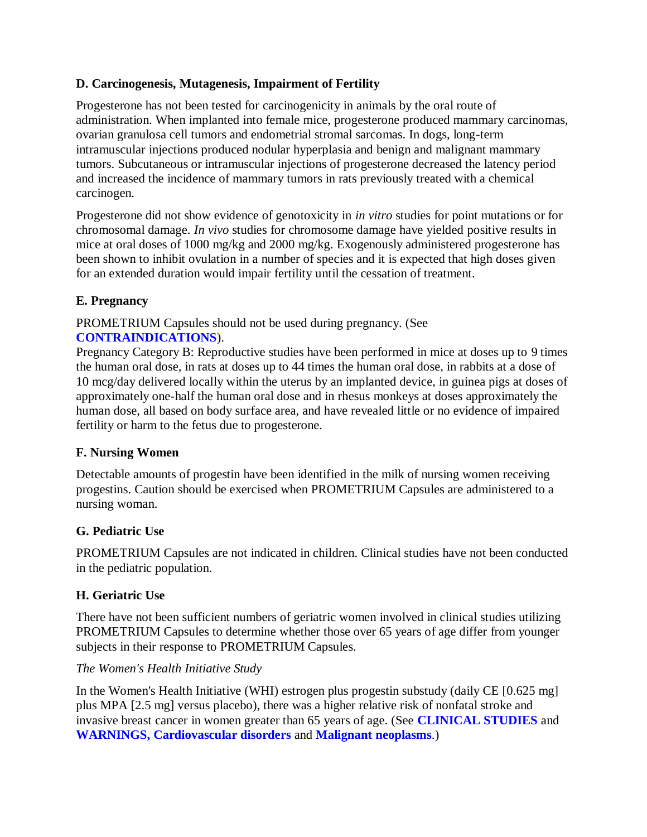## **D. Carcinogenesis, Mutagenesis, Impairment of Fertility**

Progesterone has not been tested for carcinogenicity in animals by the oral route of administration. When implanted into female mice, progesterone produced mammary carcinomas, ovarian granulosa cell tumors and endometrial stromal sarcomas. In dogs, long-term intramuscular injections produced nodular hyperplasia and benign and malignant mammary tumors. Subcutaneous or intramuscular injections of progesterone decreased the latency period and increased the incidence of mammary tumors in rats previously treated with a chemical carcinogen.

Progesterone did not show evidence of genotoxicity in *in vitro* studies for point mutations or for chromosomal damage. *In vivo* studies for chromosome damage have yielded positive results in mice at oral doses of 1000 mg/kg and 2000 mg/kg. Exogenously administered progesterone has been shown to inhibit ovulation in a number of species and it is expected that high doses given for an extended duration would impair fertility until the cessation of treatment.

## **E. Pregnancy**

PROMETRIUM Capsules should not be used during pregnancy. (See **[CONTRAINDICATIONS](#page-8-0)**).

Pregnancy Category B: Reproductive studies have been performed in mice at doses up to 9 times the human oral dose, in rats at doses up to 44 times the human oral dose, in rabbits at a dose of 10 mcg/day delivered locally within the uterus by an implanted device, in guinea pigs at doses of approximately one-half the human oral dose and in rhesus monkeys at doses approximately the human dose, all based on body surface area, and have revealed little or no evidence of impaired fertility or harm to the fetus due to progesterone.

## **F. Nursing Women**

Detectable amounts of progestin have been identified in the milk of nursing women receiving progestins. Caution should be exercised when PROMETRIUM Capsules are administered to a nursing woman.

# **G. Pediatric Use**

PROMETRIUM Capsules are not indicated in children. Clinical studies have not been conducted in the pediatric population.

## <span id="page-13-0"></span>**H. Geriatric Use**

There have not been sufficient numbers of geriatric women involved in clinical studies utilizing PROMETRIUM Capsules to determine whether those over 65 years of age differ from younger subjects in their response to PROMETRIUM Capsules.

## *The Women's Health Initiative Study*

In the Women's Health Initiative (WHI) estrogen plus progestin substudy (daily CE [0.625 mg] plus MPA [2.5 mg] versus placebo), there was a higher relative risk of nonfatal stroke and invasive breast cancer in women greater than 65 years of age. (See **[CLINICAL STUDIES](#page-3-0)** an[d](#page-9-0) **[WARNINGS, Cardiovascular disorders](#page-9-0)** and **[Malignant neoplasms](#page-10-0)**.)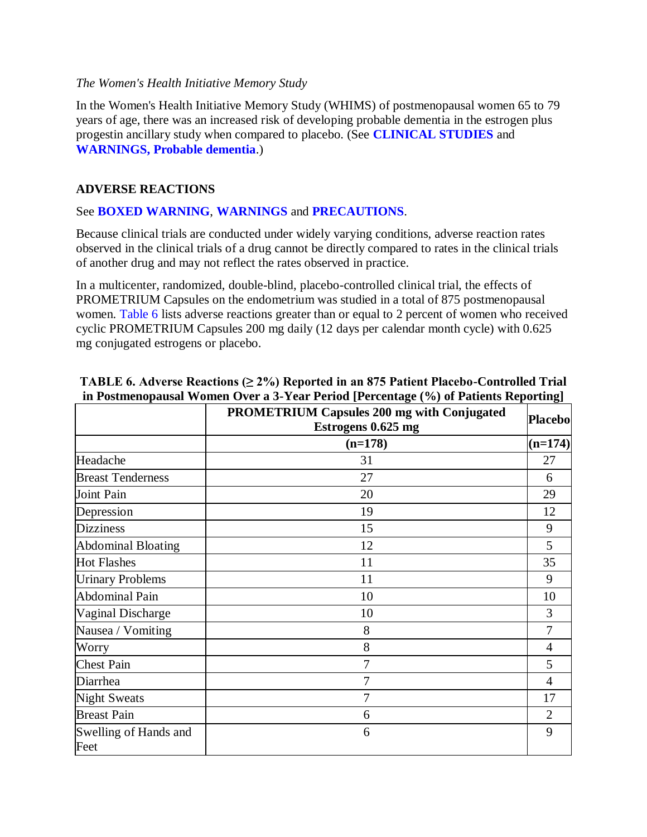#### *The Women's Health Initiative Memory Study*

In the Women's Health Initiative Memory Study (WHIMS) of postmenopausal women 65 to 79 years of age, there was an increased risk of developing probable dementia in the estrogen plus progestin ancillary study when compared to placebo. (See **[CLINICAL STUDIES](#page-3-0)** and **[WARNINGS, Probable dementia](#page-11-0)**.)

#### **ADVERSE REACTIONS**

#### See **[BOXED WARNING](#page-0-0)**, **[WARNINGS](#page-9-1)** and **[PRECAUTIONS](#page-12-0)**.

Because clinical trials are conducted under widely varying conditions, adverse reaction rates observed in the clinical trials of a drug cannot be directly compared to rates in the clinical trials of another drug and may not reflect the rates observed in practice.

In a multicenter, randomized, double-blind, placebo-controlled clinical trial, the effects of PROMETRIUM Capsules on the endometrium was studied in a total of 875 postmenopausal women. [Table 6](#page-14-0) lists adverse reactions greater than or equal to 2 percent of women who received cyclic PROMETRIUM Capsules 200 mg daily (12 days per calendar month cycle) with 0.625 mg conjugated estrogens or placebo.

|                               | PROMETRIUM Capsules 200 mg with Conjugated<br>Estrogens 0.625 mg | <b>Placebo</b> |
|-------------------------------|------------------------------------------------------------------|----------------|
|                               | $(n=178)$                                                        | $(n=174)$      |
| Headache                      | 31                                                               | 27             |
| <b>Breast Tenderness</b>      | 27                                                               | 6              |
| Joint Pain                    | 20                                                               | 29             |
| Depression                    | 19                                                               | 12             |
| <b>Dizziness</b>              | 15                                                               | 9              |
| <b>Abdominal Bloating</b>     | 12                                                               | 5              |
| <b>Hot Flashes</b>            | 11                                                               | 35             |
| <b>Urinary Problems</b>       | 11                                                               | 9              |
| <b>Abdominal Pain</b>         | 10                                                               | 10             |
| Vaginal Discharge             | 10                                                               | 3              |
| Nausea / Vomiting             | 8                                                                | 7              |
| Worry                         | 8                                                                | $\overline{4}$ |
| <b>Chest Pain</b>             | $\overline{7}$                                                   | 5              |
| Diarrhea                      | 7                                                                | 4              |
| <b>Night Sweats</b>           | 7                                                                | 17             |
| <b>Breast Pain</b>            | 6                                                                | $\overline{2}$ |
| Swelling of Hands and<br>Feet | 6                                                                | 9              |

## <span id="page-14-0"></span>**TABLE 6. Adverse Reactions (≥ 2%) Reported in an 875 Patient Placebo-Controlled Trial in Postmenopausal Women Over a 3-Year Period [Percentage (%) of Patients Reporting]**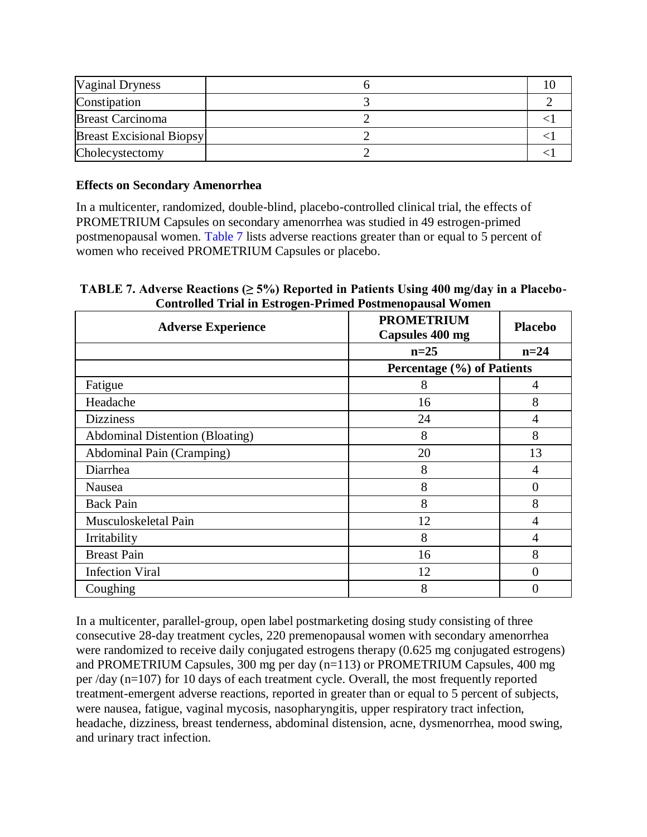| Vaginal Dryness                 |  |
|---------------------------------|--|
| Constipation                    |  |
| <b>Breast Carcinoma</b>         |  |
| <b>Breast Excisional Biopsy</b> |  |
| Cholecystectomy                 |  |

#### **Effects on Secondary Amenorrhea**

In a multicenter, randomized, double-blind, placebo-controlled clinical trial, the effects of PROMETRIUM Capsules on secondary amenorrhea was studied in 49 estrogen-primed postmenopausal women. [Table 7](#page-15-0) lists adverse reactions greater than or equal to 5 percent of women who received PROMETRIUM Capsules or placebo.

#### <span id="page-15-0"></span>**TABLE 7. Adverse Reactions (≥ 5%) Reported in Patients Using 400 mg/day in a Placebo-Controlled Trial in Estrogen-Primed Postmenopausal Women**

| o<br><b>Adverse Experience</b>         | <b>PROMETRIUM</b><br><b>Capsules 400 mg</b> | <b>Placebo</b> |
|----------------------------------------|---------------------------------------------|----------------|
|                                        | $n=25$                                      | $n=24$         |
|                                        | Percentage (%) of Patients                  |                |
| Fatigue                                | 8                                           | 4              |
| Headache                               | 16                                          | 8              |
| <b>Dizziness</b>                       | 24                                          | 4              |
| <b>Abdominal Distention (Bloating)</b> | 8                                           | 8              |
| Abdominal Pain (Cramping)              | 20                                          | 13             |
| Diarrhea                               | 8                                           | $\overline{4}$ |
| Nausea                                 | 8                                           | $\Omega$       |
| <b>Back Pain</b>                       | 8                                           | 8              |
| Musculoskeletal Pain                   | 12                                          | 4              |
| Irritability                           | 8                                           | 4              |
| <b>Breast Pain</b>                     | 16                                          | 8              |
| <b>Infection Viral</b>                 | 12                                          | $\Omega$       |
| Coughing                               | 8                                           | 0              |

In a multicenter, parallel-group, open label postmarketing dosing study consisting of three consecutive 28-day treatment cycles, 220 premenopausal women with secondary amenorrhea were randomized to receive daily conjugated estrogens therapy (0.625 mg conjugated estrogens) and PROMETRIUM Capsules, 300 mg per day (n=113) or PROMETRIUM Capsules, 400 mg per /day (n=107) for 10 days of each treatment cycle. Overall, the most frequently reported treatment-emergent adverse reactions, reported in greater than or equal to 5 percent of subjects, were nausea, fatigue, vaginal mycosis, nasopharyngitis, upper respiratory tract infection, headache, dizziness, breast tenderness, abdominal distension, acne, dysmenorrhea, mood swing, and urinary tract infection.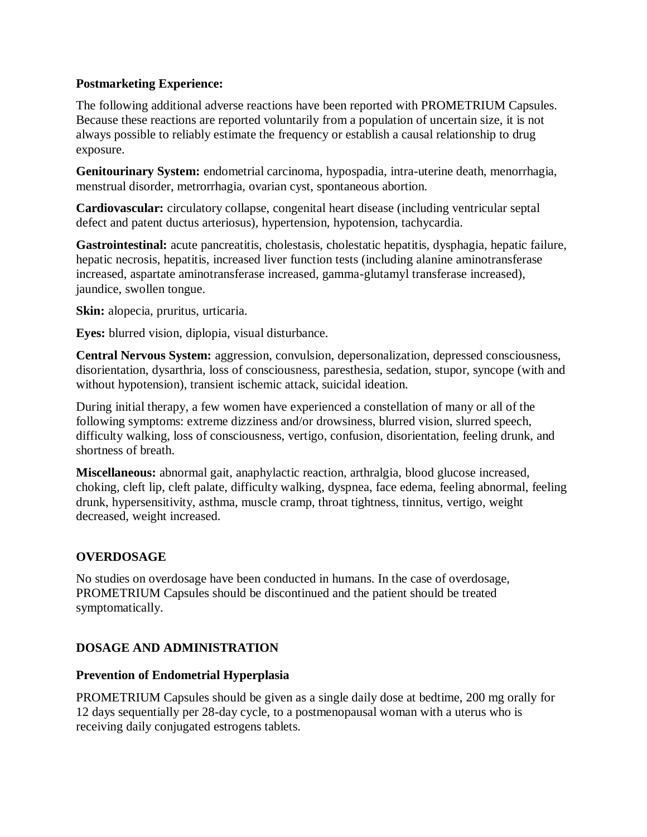## **Postmarketing Experience:**

The following additional adverse reactions have been reported with PROMETRIUM Capsules. Because these reactions are reported voluntarily from a population of uncertain size, it is not always possible to reliably estimate the frequency or establish a causal relationship to drug exposure.

**Genitourinary System:** endometrial carcinoma, hypospadia, intra-uterine death, menorrhagia, menstrual disorder, metrorrhagia, ovarian cyst, spontaneous abortion.

**Cardiovascular:** circulatory collapse, congenital heart disease (including ventricular septal defect and patent ductus arteriosus), hypertension, hypotension, tachycardia.

**Gastrointestinal:** acute pancreatitis, cholestasis, cholestatic hepatitis, dysphagia, hepatic failure, hepatic necrosis, hepatitis, increased liver function tests (including alanine aminotransferase increased, aspartate aminotransferase increased, gamma-glutamyl transferase increased), jaundice, swollen tongue.

**Skin:** alopecia, pruritus, urticaria.

**Eyes:** blurred vision, diplopia, visual disturbance.

**Central Nervous System:** aggression, convulsion, depersonalization, depressed consciousness, disorientation, dysarthria, loss of consciousness, paresthesia, sedation, stupor, syncope (with and without hypotension), transient ischemic attack, suicidal ideation.

During initial therapy, a few women have experienced a constellation of many or all of the following symptoms: extreme dizziness and/or drowsiness, blurred vision, slurred speech, difficulty walking, loss of consciousness, vertigo, confusion, disorientation, feeling drunk, and shortness of breath.

**Miscellaneous:** abnormal gait, anaphylactic reaction, arthralgia, blood glucose increased, choking, cleft lip, cleft palate, difficulty walking, dyspnea, face edema, feeling abnormal, feeling drunk, hypersensitivity, asthma, muscle cramp, throat tightness, tinnitus, vertigo, weight decreased, weight increased.

## **OVERDOSAGE**

No studies on overdosage have been conducted in humans. In the case of overdosage, PROMETRIUM Capsules should be discontinued and the patient should be treated symptomatically.

# **DOSAGE AND ADMINISTRATION**

## **Prevention of Endometrial Hyperplasia**

PROMETRIUM Capsules should be given as a single daily dose at bedtime, 200 mg orally for 12 days sequentially per 28-day cycle, to a postmenopausal woman with a uterus who is receiving daily conjugated estrogens tablets.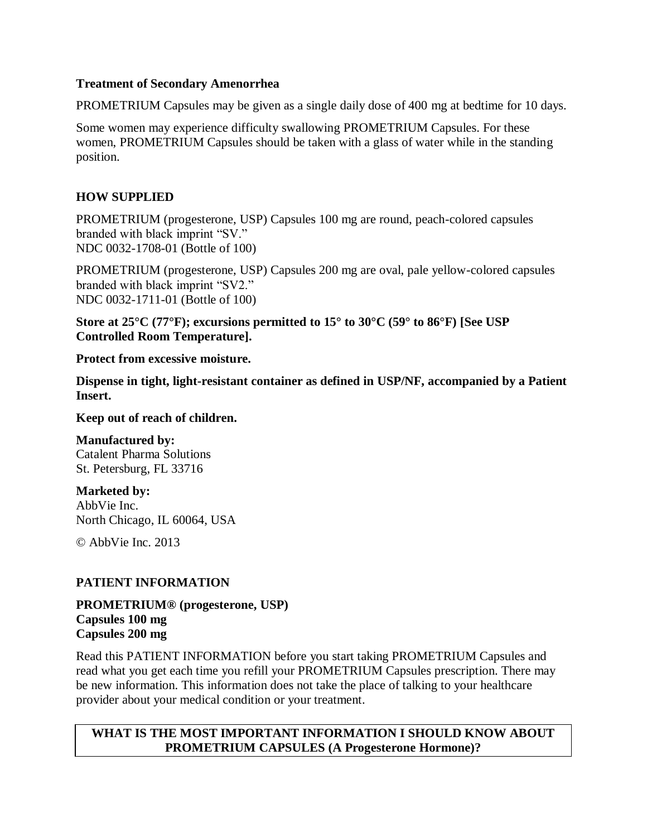#### **Treatment of Secondary Amenorrhea**

PROMETRIUM Capsules may be given as a single daily dose of 400 mg at bedtime for 10 days.

Some women may experience difficulty swallowing PROMETRIUM Capsules. For these women, PROMETRIUM Capsules should be taken with a glass of water while in the standing position.

#### **HOW SUPPLIED**

PROMETRIUM (progesterone, USP) Capsules 100 mg are round, peach-colored capsules branded with black imprint "SV." NDC 0032-1708-01 (Bottle of 100)

PROMETRIUM (progesterone, USP) Capsules 200 mg are oval, pale yellow-colored capsules branded with black imprint "SV2." NDC 0032-1711-01 (Bottle of 100)

**Store at 25°C (77°F); excursions permitted to 15° to 30°C (59° to 86°F) [See USP Controlled Room Temperature].**

**Protect from excessive moisture.**

**Dispense in tight, light-resistant container as defined in USP/NF, accompanied by a Patient Insert.**

**Keep out of reach of children.**

## **Manufactured by:**

Catalent Pharma Solutions St. Petersburg, FL 33716

**Marketed by:**

AbbVie Inc. North Chicago, IL 60064, USA

© AbbVie Inc. 2013

## **PATIENT INFORMATION**

**PROMETRIUM® (progesterone, USP) Capsules 100 mg Capsules 200 mg**

Read this PATIENT INFORMATION before you start taking PROMETRIUM Capsules and read what you get each time you refill your PROMETRIUM Capsules prescription. There may be new information. This information does not take the place of talking to your healthcare provider about your medical condition or your treatment.

## **WHAT IS THE MOST IMPORTANT INFORMATION I SHOULD KNOW ABOUT PROMETRIUM CAPSULES (A Progesterone Hormone)?**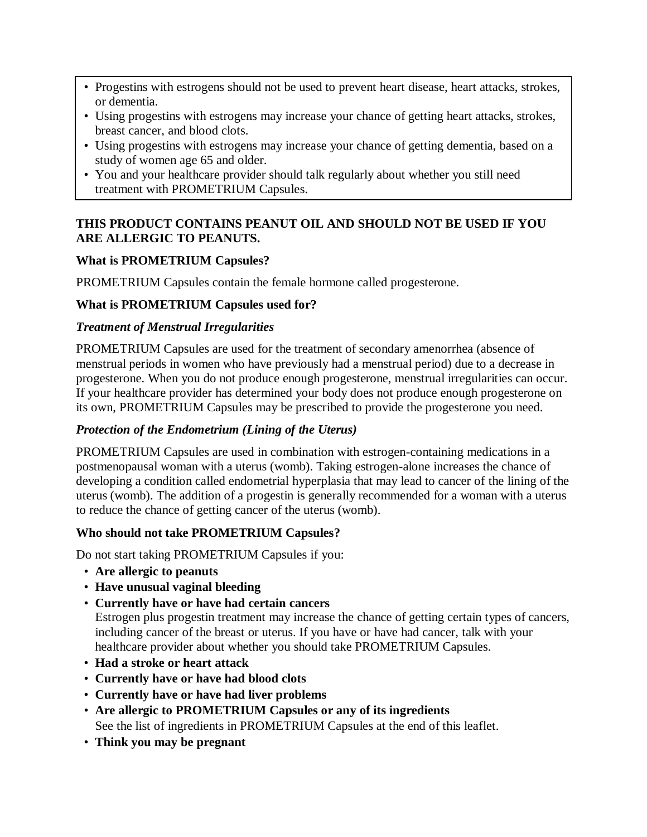- Progestins with estrogens should not be used to prevent heart disease, heart attacks, strokes, or dementia.
- Using progestins with estrogens may increase your chance of getting heart attacks, strokes, breast cancer, and blood clots.
- Using progestins with estrogens may increase your chance of getting dementia, based on a study of women age 65 and older.
- You and your healthcare provider should talk regularly about whether you still need treatment with PROMETRIUM Capsules.

# **THIS PRODUCT CONTAINS PEANUT OIL AND SHOULD NOT BE USED IF YOU ARE ALLERGIC TO PEANUTS.**

## **What is PROMETRIUM Capsules?**

PROMETRIUM Capsules contain the female hormone called progesterone.

## **What is PROMETRIUM Capsules used for?**

#### *Treatment of Menstrual Irregularities*

PROMETRIUM Capsules are used for the treatment of secondary amenorrhea (absence of menstrual periods in women who have previously had a menstrual period) due to a decrease in progesterone. When you do not produce enough progesterone, menstrual irregularities can occur. If your healthcare provider has determined your body does not produce enough progesterone on its own, PROMETRIUM Capsules may be prescribed to provide the progesterone you need.

## *Protection of the Endometrium (Lining of the Uterus)*

PROMETRIUM Capsules are used in combination with estrogen-containing medications in a postmenopausal woman with a uterus (womb). Taking estrogen-alone increases the chance of developing a condition called endometrial hyperplasia that may lead to cancer of the lining of the uterus (womb). The addition of a progestin is generally recommended for a woman with a uterus to reduce the chance of getting cancer of the uterus (womb).

#### **Who should not take PROMETRIUM Capsules?**

Do not start taking PROMETRIUM Capsules if you:

- **Are allergic to peanuts**
- **Have unusual vaginal bleeding**
- **Currently have or have had certain cancers**

Estrogen plus progestin treatment may increase the chance of getting certain types of cancers, including cancer of the breast or uterus. If you have or have had cancer, talk with your healthcare provider about whether you should take PROMETRIUM Capsules.

- **Had a stroke or heart attack**
- **Currently have or have had blood clots**
- **Currently have or have had liver problems**
- **Are allergic to PROMETRIUM Capsules or any of its ingredients** See the list of ingredients in PROMETRIUM Capsules at the end of this leaflet.
- **Think you may be pregnant**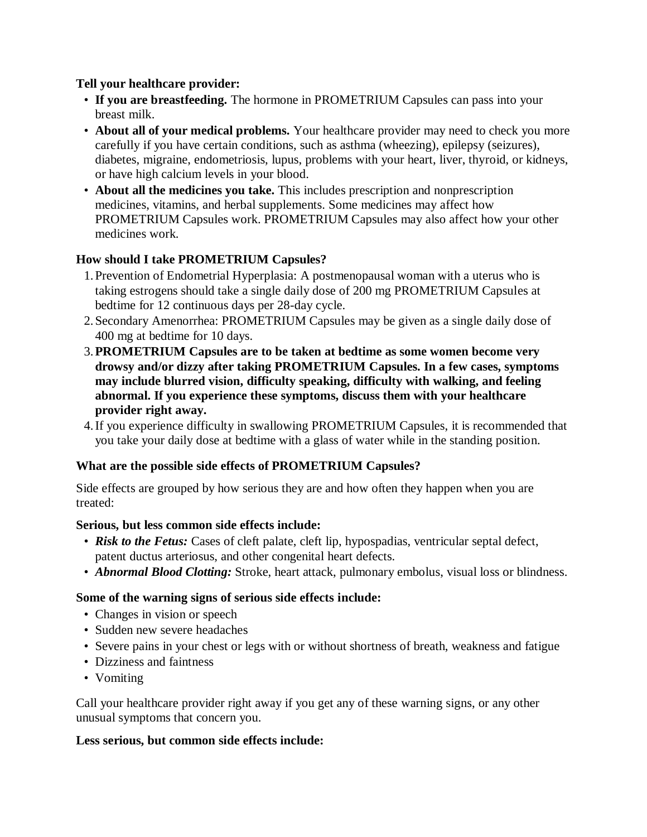## **Tell your healthcare provider:**

- **If you are breastfeeding.** The hormone in PROMETRIUM Capsules can pass into your breast milk.
- **About all of your medical problems.** Your healthcare provider may need to check you more carefully if you have certain conditions, such as asthma (wheezing), epilepsy (seizures), diabetes, migraine, endometriosis, lupus, problems with your heart, liver, thyroid, or kidneys, or have high calcium levels in your blood.
- **About all the medicines you take.** This includes prescription and nonprescription medicines, vitamins, and herbal supplements. Some medicines may affect how PROMETRIUM Capsules work. PROMETRIUM Capsules may also affect how your other medicines work.

# **How should I take PROMETRIUM Capsules?**

- 1.Prevention of Endometrial Hyperplasia: A postmenopausal woman with a uterus who is taking estrogens should take a single daily dose of 200 mg PROMETRIUM Capsules at bedtime for 12 continuous days per 28-day cycle.
- 2.Secondary Amenorrhea: PROMETRIUM Capsules may be given as a single daily dose of 400 mg at bedtime for 10 days.
- 3.**PROMETRIUM Capsules are to be taken at bedtime as some women become very drowsy and/or dizzy after taking PROMETRIUM Capsules. In a few cases, symptoms may include blurred vision, difficulty speaking, difficulty with walking, and feeling abnormal. If you experience these symptoms, discuss them with your healthcare provider right away.**
- 4.If you experience difficulty in swallowing PROMETRIUM Capsules, it is recommended that you take your daily dose at bedtime with a glass of water while in the standing position.

## **What are the possible side effects of PROMETRIUM Capsules?**

Side effects are grouped by how serious they are and how often they happen when you are treated:

## **Serious, but less common side effects include:**

- *Risk to the Fetus:* Cases of cleft palate, cleft lip, hypospadias, ventricular septal defect, patent ductus arteriosus, and other congenital heart defects.
- *Abnormal Blood Clotting:* Stroke, heart attack, pulmonary embolus, visual loss or blindness.

## **Some of the warning signs of serious side effects include:**

- Changes in vision or speech
- Sudden new severe headaches
- Severe pains in your chest or legs with or without shortness of breath, weakness and fatigue
- Dizziness and faintness
- Vomiting

Call your healthcare provider right away if you get any of these warning signs, or any other unusual symptoms that concern you.

## **Less serious, but common side effects include:**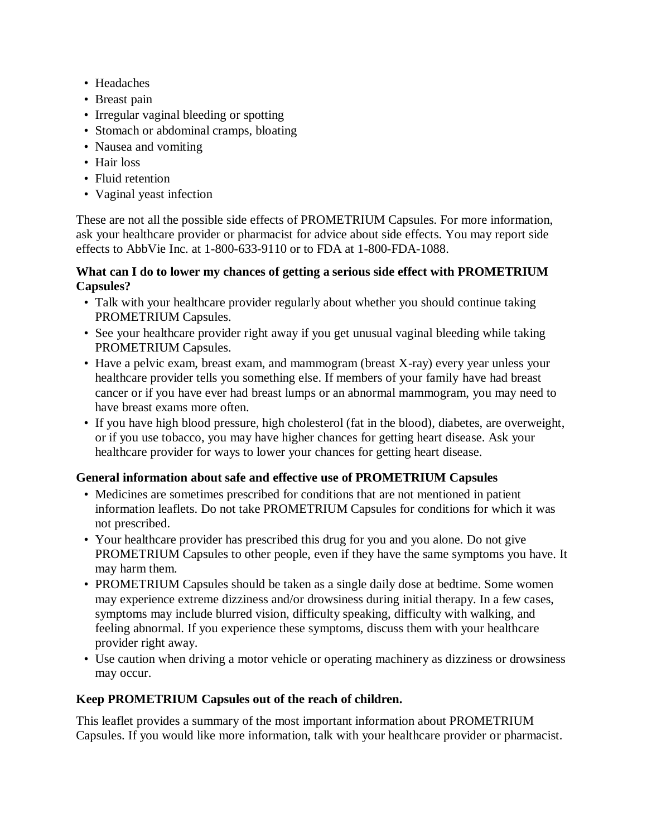- Headaches
- Breast pain
- Irregular vaginal bleeding or spotting
- Stomach or abdominal cramps, bloating
- Nausea and vomiting
- Hair loss
- Fluid retention
- Vaginal yeast infection

These are not all the possible side effects of PROMETRIUM Capsules. For more information, ask your healthcare provider or pharmacist for advice about side effects. You may report side effects to AbbVie Inc. at 1-800-633-9110 or to FDA at 1-800-FDA-1088.

#### **What can I do to lower my chances of getting a serious side effect with PROMETRIUM Capsules?**

- Talk with your healthcare provider regularly about whether you should continue taking PROMETRIUM Capsules.
- See your healthcare provider right away if you get unusual vaginal bleeding while taking PROMETRIUM Capsules.
- Have a pelvic exam, breast exam, and mammogram (breast X-ray) every year unless your healthcare provider tells you something else. If members of your family have had breast cancer or if you have ever had breast lumps or an abnormal mammogram, you may need to have breast exams more often.
- If you have high blood pressure, high cholesterol (fat in the blood), diabetes, are overweight, or if you use tobacco, you may have higher chances for getting heart disease. Ask your healthcare provider for ways to lower your chances for getting heart disease.

## **General information about safe and effective use of PROMETRIUM Capsules**

- Medicines are sometimes prescribed for conditions that are not mentioned in patient information leaflets. Do not take PROMETRIUM Capsules for conditions for which it was not prescribed.
- Your healthcare provider has prescribed this drug for you and you alone. Do not give PROMETRIUM Capsules to other people, even if they have the same symptoms you have. It may harm them.
- PROMETRIUM Capsules should be taken as a single daily dose at bedtime. Some women may experience extreme dizziness and/or drowsiness during initial therapy. In a few cases, symptoms may include blurred vision, difficulty speaking, difficulty with walking, and feeling abnormal. If you experience these symptoms, discuss them with your healthcare provider right away.
- Use caution when driving a motor vehicle or operating machinery as dizziness or drowsiness may occur.

## **Keep PROMETRIUM Capsules out of the reach of children.**

This leaflet provides a summary of the most important information about PROMETRIUM Capsules. If you would like more information, talk with your healthcare provider or pharmacist.